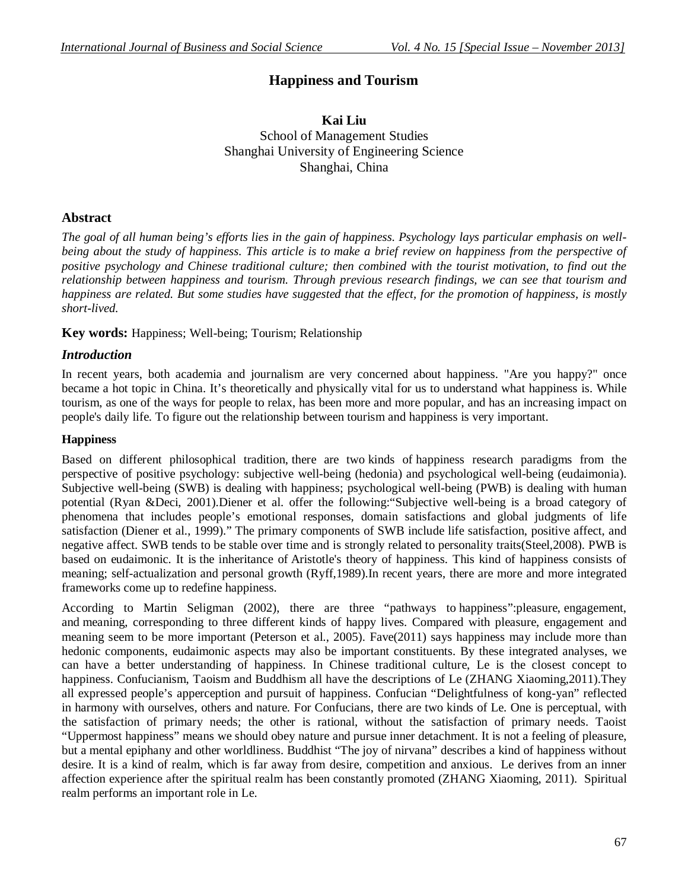# **Happiness and Tourism**

# **Kai Liu** School of Management Studies Shanghai University of Engineering Science Shanghai, China

## **Abstract**

*The goal of all human being's efforts lies in the gain of happiness. Psychology lays particular emphasis on wellbeing about the study of happiness. This article is to make a brief review on happiness from the perspective of positive psychology and Chinese traditional culture; then combined with the tourist motivation, to find out the relationship between happiness and tourism. Through previous research findings, we can see that tourism and happiness are related. But some studies have suggested that the effect, for the promotion of happiness, is mostly short-lived.*

## **Key words:** Happiness; Well-being; Tourism; Relationship

## *Introduction*

In recent years, both academia and journalism are very concerned about happiness. "Are you happy?" once became a hot topic in China. It's theoretically and physically vital for us to understand what happiness is. While tourism, as one of the ways for people to relax, has been more and more popular, and has an increasing impact on people's daily life. To figure out the relationship between tourism and happiness is very important.

## **Happiness**

Based on different philosophical tradition, there are two kinds of happiness research paradigms from the perspective of positive psychology: subjective well-being (hedonia) and psychological well-being (eudaimonia). Subjective well-being (SWB) is dealing with happiness; psychological well-being (PWB) is dealing with human potential (Ryan &Deci, 2001).Diener et al. offer the following:"Subjective well-being is a broad category of phenomena that includes people's emotional responses, domain satisfactions and global judgments of life satisfaction (Diener et al., 1999)." The primary components of SWB include life satisfaction, positive affect, and negative affect. SWB tends to be stable over time and is strongly related to personality traits(Steel,2008). PWB is based on eudaimonic. It is the inheritance of Aristotle's theory of happiness. This kind of happiness consists of meaning; self-actualization and personal growth (Ryff,1989).In recent years, there are more and more integrated frameworks come up to redefine happiness.

According to Martin Seligman (2002), there are three "pathways to happiness":pleasure, engagement, and meaning, corresponding to three different kinds of happy lives. Compared with pleasure, engagement and meaning seem to be more important (Peterson et al., 2005). Fave(2011) says happiness may include more than hedonic components, eudaimonic aspects may also be important constituents. By these integrated analyses, we can have a better understanding of happiness. In Chinese traditional culture, Le is the closest concept to happiness. Confucianism, Taoism and Buddhism all have the descriptions of Le (ZHANG Xiaoming,2011).They all expressed people's apperception and pursuit of happiness. Confucian "Delightfulness of kong-yan" reflected in harmony with ourselves, others and nature. For Confucians, there are two kinds of Le. One is perceptual, with the satisfaction of primary needs; the other is rational, without the satisfaction of primary needs. Taoist "Uppermost happiness" means we should obey nature and pursue inner detachment. It is not a feeling of pleasure, but a mental epiphany and other worldliness. Buddhist "The joy of nirvana" describes a kind of happiness without desire. It is a kind of realm, which is far away from desire, competition and anxious. Le derives from an inner affection experience after the spiritual realm has been constantly promoted (ZHANG Xiaoming, 2011). Spiritual realm performs an important role in Le.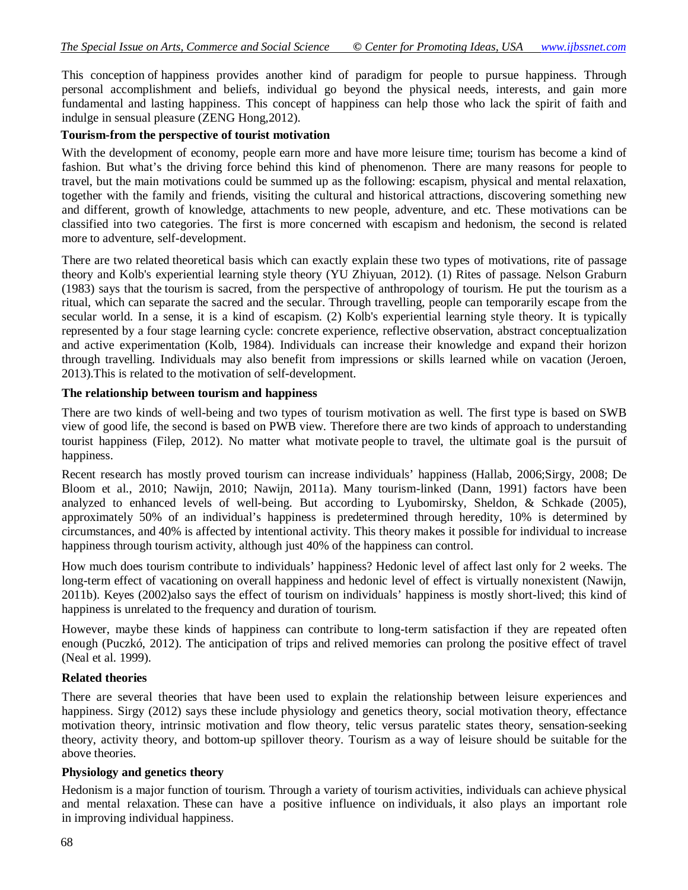This conception of happiness provides another kind of paradigm for people to pursue happiness. Through personal accomplishment and beliefs, individual go beyond the physical needs, interests, and gain more fundamental and lasting happiness. This concept of happiness can help those who lack the spirit of faith and indulge in sensual pleasure (ZENG Hong,2012).

#### **Tourism-from the perspective of tourist motivation**

With the development of economy, people earn more and have more leisure time; tourism has become a kind of fashion. But what's the driving force behind this kind of phenomenon. There are many reasons for people to travel, but the main motivations could be summed up as the following: escapism, physical and mental relaxation, together with the family and friends, visiting the cultural and historical attractions, discovering something new and different, growth of knowledge, attachments to new people, adventure, and etc. These motivations can be classified into two categories. The first is more concerned with escapism and hedonism, the second is related more to adventure, self-development.

There are two related theoretical basis which can exactly explain these two types of motivations, rite of passage theory and Kolb's experiential learning style theory (YU Zhiyuan, 2012). (1) Rites of passage. Nelson Graburn (1983) says that the tourism is sacred, from the perspective of anthropology of tourism. He put the tourism as a ritual, which can separate the sacred and the secular. Through travelling, people can temporarily escape from the secular world. In a sense, it is a kind of escapism. (2) Kolb's experiential learning style theory. It is typically represented by a four stage learning cycle: concrete experience, reflective observation, abstract conceptualization and active experimentation (Kolb, 1984). Individuals can increase their knowledge and expand their horizon through travelling. Individuals may also benefit from impressions or skills learned while on vacation (Jeroen, 2013).This is related to the motivation of self-development.

#### **The relationship between tourism and happiness**

There are two kinds of well-being and two types of tourism motivation as well. The first type is based on SWB view of good life, the second is based on PWB view. Therefore there are two kinds of approach to understanding tourist happiness (Filep, 2012). No matter what motivate people to travel, the ultimate goal is the pursuit of happiness.

Recent research has mostly proved tourism can increase individuals' happiness (Hallab, 2006;Sirgy, 2008; De Bloom et al., 2010; Nawijn, 2010; Nawijn, 2011a). Many tourism-linked (Dann, 1991) factors have been analyzed to enhanced levels of well-being. But according to Lyubomirsky, Sheldon, & Schkade (2005), approximately 50% of an individual's happiness is predetermined through heredity, 10% is determined by circumstances, and 40% is affected by intentional activity. This theory makes it possible for individual to increase happiness through tourism activity, although just 40% of the happiness can control.

How much does tourism contribute to individuals' happiness? Hedonic level of affect last only for 2 weeks. The long-term effect of vacationing on overall happiness and hedonic level of effect is virtually nonexistent (Nawijn, 2011b). Keyes (2002)also says the effect of tourism on individuals' happiness is mostly short-lived; this kind of happiness is unrelated to the frequency and duration of tourism.

However, maybe these kinds of happiness can contribute to long-term satisfaction if they are repeated often enough (Puczkó, 2012). The anticipation of trips and relived memories can prolong the positive effect of travel (Neal et al. 1999).

### **Related theories**

There are several theories that have been used to explain the relationship between leisure experiences and happiness. Sirgy (2012) says these include physiology and genetics theory, social motivation theory, effectance motivation theory, intrinsic motivation and flow theory, telic versus paratelic states theory, sensation-seeking theory, activity theory, and bottom-up spillover theory. Tourism as a way of leisure should be suitable for the above theories.

### **Physiology and genetics theory**

Hedonism is a major function of tourism. Through a variety of tourism activities, individuals can achieve physical and mental relaxation. These can have a positive influence on individuals, it also plays an important role in improving individual happiness.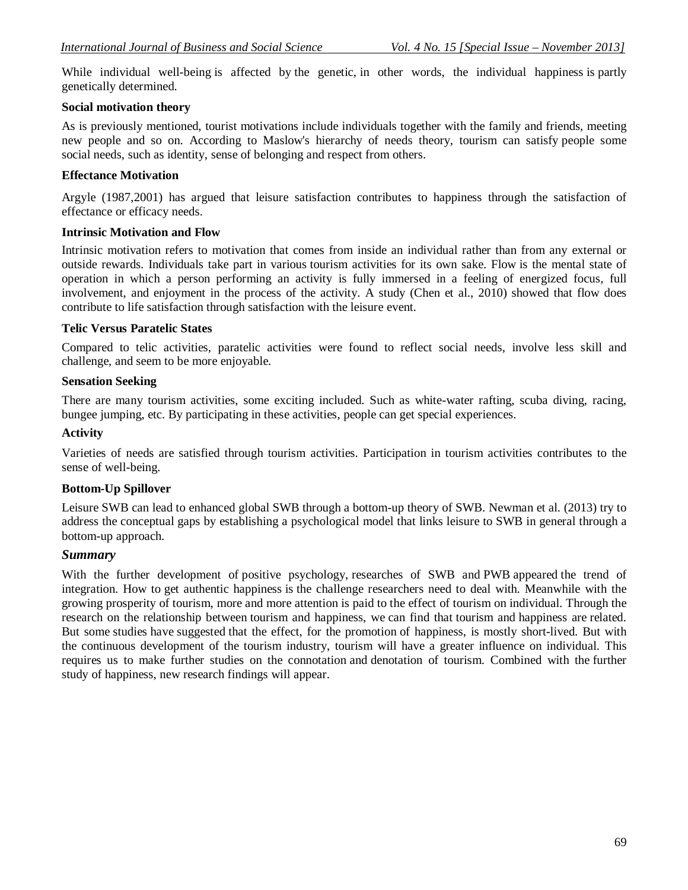While individual well-being is affected by the genetic, in other words, the individual happiness is partly genetically determined.

# **Social motivation theory**

As is previously mentioned, tourist motivations include individuals together with the family and friends, meeting new people and so on. According to Maslow's hierarchy of needs theory, tourism can satisfy people some social needs, such as identity, sense of belonging and respect from others.

## **Effectance Motivation**

Argyle (1987,2001) has argued that leisure satisfaction contributes to happiness through the satisfaction of effectance or efficacy needs.

## **Intrinsic Motivation and Flow**

Intrinsic motivation refers to motivation that comes from inside an individual rather than from any external or outside rewards. Individuals take part in various tourism activities for its own sake. Flow is the mental state of operation in which a person performing an activity is fully immersed in a feeling of energized focus, full involvement, and enjoyment in the process of the activity. A study (Chen et al., 2010) showed that flow does contribute to life satisfaction through satisfaction with the leisure event.

## **Telic Versus Paratelic States**

Compared to telic activities, paratelic activities were found to reflect social needs, involve less skill and challenge, and seem to be more enjoyable.

## **Sensation Seeking**

There are many tourism activities, some exciting included. Such as white-water rafting, scuba diving, racing, bungee jumping, etc. By participating in these activities, people can get special experiences.

## **Activity**

Varieties of needs are satisfied through tourism activities. Participation in tourism activities contributes to the sense of well-being.

## **Bottom-Up Spillover**

Leisure SWB can lead to enhanced global SWB through a bottom-up theory of SWB. Newman et al. (2013) try to address the conceptual gaps by establishing a psychological model that links leisure to SWB in general through a bottom-up approach.

### *Summary*

With the further development of positive psychology, researches of SWB and PWB appeared the trend of integration. How to get authentic happiness is the challenge researchers need to deal with. Meanwhile with the growing prosperity of tourism, more and more attention is paid to the effect of tourism on individual. Through the research on the relationship between tourism and happiness, we can find that tourism and happiness are related. But some studies have suggested that the effect, for the promotion of happiness, is mostly short-lived. But with the continuous development of the tourism industry, tourism will have a greater influence on individual. This requires us to make further studies on the connotation and denotation of tourism. Combined with the further study of happiness, new research findings will appear.